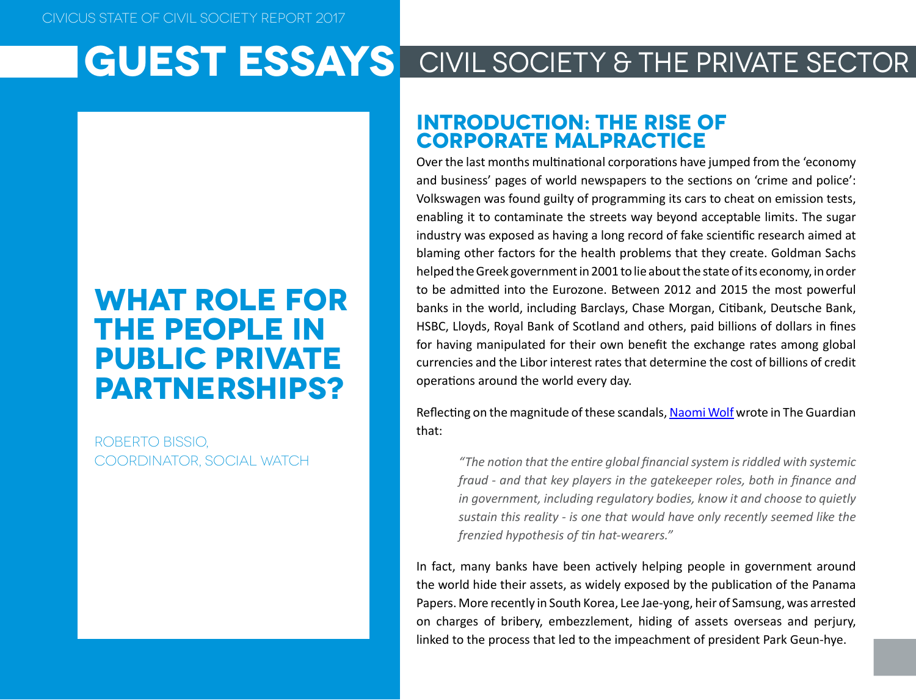### **What role for the people in public private partnerships?**

Roberto Bissio, Coordinator, Social Watch

#### **Introduction: the rise of corporate malpractice**

Over the last months multinational corporations have jumped from the 'economy and business' pages of world newspapers to the sections on 'crime and police': Volkswagen was found guilty of programming its cars to cheat on emission tests, enabling it to contaminate the streets way beyond acceptable limits. The sugar industry was exposed as having a long record of fake scientific research aimed at blaming other factors for the health problems that they create. Goldman Sachs helped the Greek government in 2001 to lie about the state of its economy, in order to be admitted into the Eurozone. Between 2012 and 2015 the most powerful banks in the world, including Barclays, Chase Morgan, Citibank, Deutsche Bank, HSBC, Lloyds, Royal Bank of Scotland and others, paid billions of dollars in fines for having manipulated for their own benefit the exchange rates among global currencies and the Libor interest rates that determine the cost of billions of credit operations around the world every day.

Reflecting on the magnitude of these scandals, [Naomi Wolf](https://www.theguardian.com/commentisfree/2012/jul/14/global-financial-fraud-gatekeepers) wrote in The Guardian that:

*"The notion that the entire global financial system is riddled with systemic fraud - and that key players in the gatekeeper roles, both in finance and in government, including regulatory bodies, know it and choose to quietly sustain this reality - is one that would have only recently seemed like the frenzied hypothesis of tin hat-wearers."*

In fact, many banks have been actively helping people in government around the world hide their assets, as widely exposed by the publication of the Panama Papers. More recently in South Korea, Lee Jae-yong, heir of Samsung, was arrested on charges of bribery, embezzlement, hiding of assets overseas and perjury, linked to the process that led to the impeachment of president Park Geun-hye.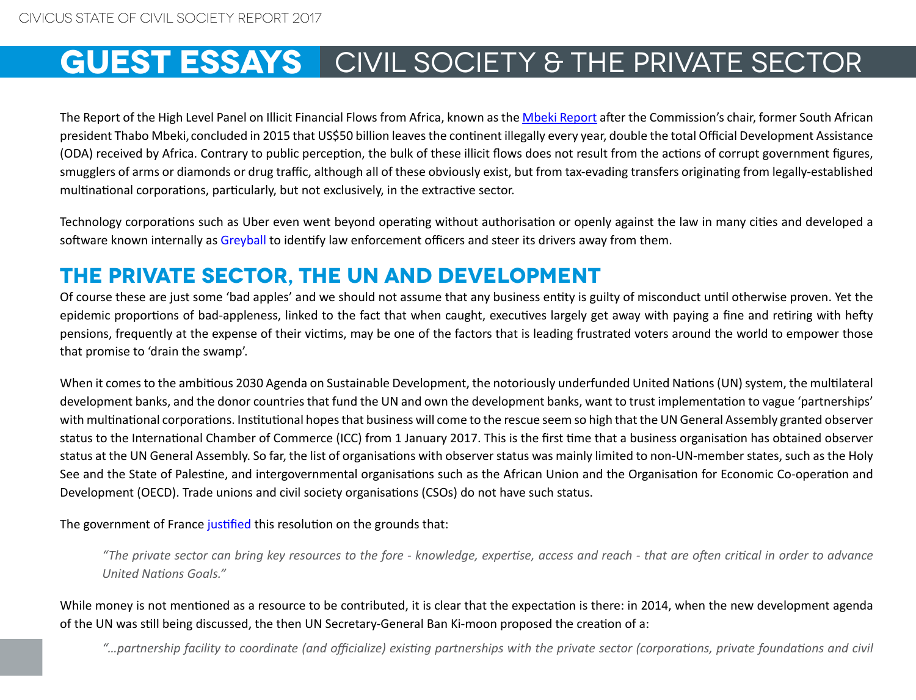The Report of the High Level Panel on Illicit Financial Flows from Africa, known as the [Mbeki Report](http://www.uneca.org/iff) after the Commission's chair, former South African president Thabo Mbeki, concluded in 2015 that US\$50 billion leaves the continent illegally every year, double the total Official Development Assistance (ODA) received by Africa. Contrary to public perception, the bulk of these illicit flows does not result from the actions of corrupt government figures, smugglers of arms or diamonds or drug traffic, although all of these obviously exist, but from tax-evading transfers originating from legally-established multinational corporations, particularly, but not exclusively, in the extractive sector.

Technology corporations such as Uber even went beyond operating without authorisation or openly against the law in many cities and developed a software known internally as Greyball to identify law enforcement officers and steer its drivers away from them.

### **The private sector, the UN and development**

Of course these are just some 'bad apples' and we should not assume that any business entity is guilty of misconduct until otherwise proven. Yet the epidemic proportions of bad-appleness, linked to the fact that when caught, executives largely get away with paying a fine and retiring with hefty pensions, frequently at the expense of their victims, may be one of the factors that is leading frustrated voters around the world to empower those that promise to 'drain the swamp'.

When it comes to the ambitious 2030 Agenda on Sustainable Development, the notoriously underfunded United Nations (UN) system, the multilateral development banks, and the donor countries that fund the UN and own the development banks, want to trust implementation to vague 'partnerships' with multinational corporations. Institutional hopes that business will come to the rescue seem so high that the UN General Assembly granted observer status to the International Chamber of Commerce (ICC) from 1 January 2017. This is the first time that a business organisation has obtained observer status at the UN General Assembly. So far, the list of organisations with observer status was mainly limited to non-UN-member states, such as the Holy See and the State of Palestine, and intergovernmental organisations such as the African Union and the Organisation for Economic Co-operation and Development (OECD). Trade unions and civil society organisations (CSOs) do not have such status.

The government of France justified this resolution on the grounds that:

*"The private sector can bring key resources to the fore - knowledge, expertise, access and reach - that are often critical in order to advance United Nations Goals."*

While money is not mentioned as a resource to be contributed, it is clear that the expectation is there: in 2014, when the new development agenda of the UN was still being discussed, the then UN Secretary-General Ban Ki-moon proposed the creation of a:

*"…partnership facility to coordinate (and officialize) existing partnerships with the private sector (corporations, private foundations and civil*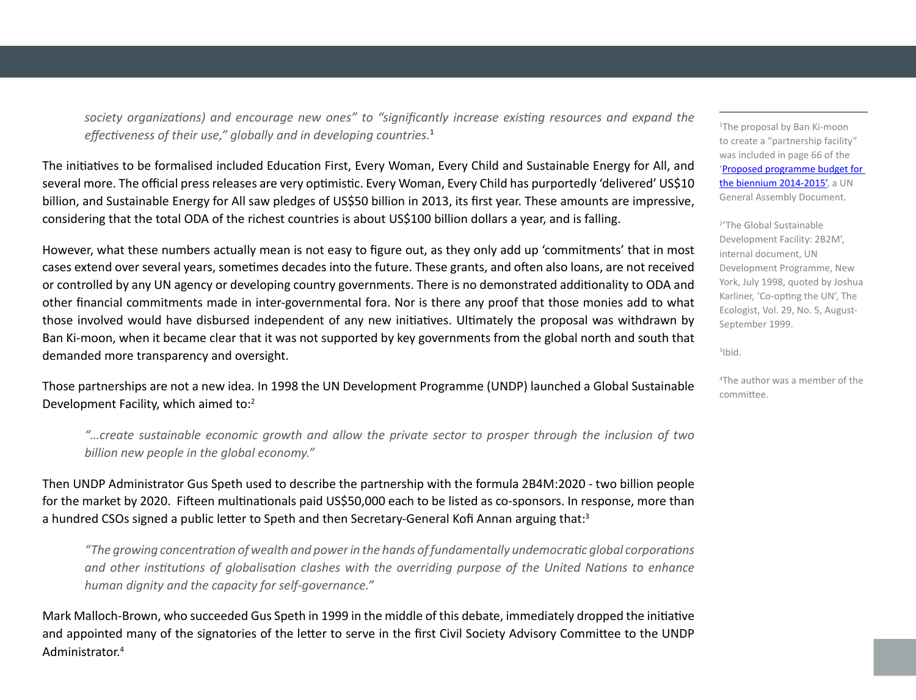*society organizations) and encourage new ones" to "significantly increase existing resources and expand the effectiveness of their use," globally and in developing countries.*<sup>1</sup>

The initiatives to be formalised included Education First, Every Woman, Every Child and Sustainable Energy for All, and several more. The official press releases are very optimistic. Every Woman, Every Child has purportedly 'delivered' US\$10 billion, and Sustainable Energy for All saw pledges of US\$50 billion in 2013, its first year. These amounts are impressive, considering that the total ODA of the richest countries is about US\$100 billion dollars a year, and is falling.

However, what these numbers actually mean is not easy to figure out, as they only add up 'commitments' that in most cases extend over several years, sometimes decades into the future. These grants, and often also loans, are not received or controlled by any UN agency or developing country governments. There is no demonstrated additionality to ODA and other financial commitments made in inter-governmental fora. Nor is there any proof that those monies add to what those involved would have disbursed independent of any new initiatives. Ultimately the proposal was withdrawn by Ban Ki-moon, when it became clear that it was not supported by key governments from the global north and south that demanded more transparency and oversight.

Those partnerships are not a new idea. In 1998 the UN Development Programme (UNDP) launched a Global Sustainable Development Facility, which aimed to:<sup>2</sup>

*"…create sustainable economic growth and allow the private sector to prosper through the inclusion of two billion new people in the global economy."*

Then UNDP Administrator Gus Speth used to describe the partnership with the formula 2B4M:2020 - two billion people for the market by 2020. Fifteen multinationals paid US\$50,000 each to be listed as co-sponsors. In response, more than a hundred CSOs signed a public letter to Speth and then Secretary-General Kofi Annan arguing that:<sup>3</sup>

*"The growing concentration of wealth and power in the hands of fundamentally undemocratic global corporations and other institutions of globalisation clashes with the overriding purpose of the United Nations to enhance human dignity and the capacity for self-governance."*

Mark Malloch-Brown, who succeeded Gus Speth in 1999 in the middle of this debate, immediately dropped the initiative and appointed many of the signatories of the letter to serve in the first Civil Society Advisory Committee to the UNDP Administrator.4

1 The proposal by Ban Ki-moon to create a "partnership facility" was included in page 66 of the '[Proposed programme budget for](http://www.un.org/ga/search/view_doc.asp?symbol=A/68/6(SECT.1-36))  [the biennium 2014-2015',](http://www.un.org/ga/search/view_doc.asp?symbol=A/68/6(SECT.1-36)) a UN General Assembly Document.

2 'The Global Sustainable Development Facility: 2B2M', internal document, UN Development Programme, New York, July 1998, quoted by Joshua Karliner, 'Co-opting the UN', The Ecologist, Vol. 29, No. 5, August-September 1999.

3 Ibid.

4 The author was a member of the committee.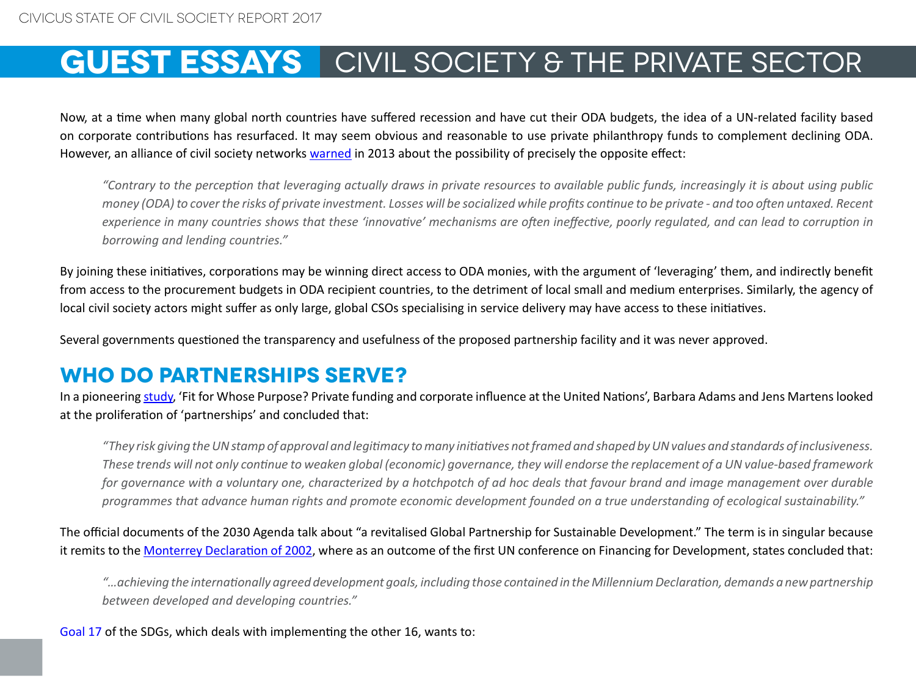Now, at a time when many global north countries have suffered recession and have cut their ODA budgets, the idea of a UN-related facility based on corporate contributions has resurfaced. It may seem obvious and reasonable to use private philanthropy funds to complement declining ODA. However, an alliance of civil society networks [warned](https://www.reflectiongroup.org/sites/default/files/Misdirecting_finance_-_who_benefits.pdf) in 2013 about the possibility of precisely the opposite effect:

*"Contrary to the perception that leveraging actually draws in private resources to available public funds, increasingly it is about using public money (ODA) to cover the risks of private investment. Losses will be socialized while profits continue to be private - and too often untaxed. Recent experience in many countries shows that these 'innovative' mechanisms are often ineffective, poorly regulated, and can lead to corruption in borrowing and lending countries."*

By joining these initiatives, corporations may be winning direct access to ODA monies, with the argument of 'leveraging' them, and indirectly benefit from access to the procurement budgets in ODA recipient countries, to the detriment of local small and medium enterprises. Similarly, the agency of local civil society actors might suffer as only large, global CSOs specialising in service delivery may have access to these initiatives.

Several governments questioned the transparency and usefulness of the proposed partnership facility and it was never approved.

#### **Who do partnerships serve?**

In a pioneering study, 'Fit for Whose Purpose? Private funding and corporate influence at the United Nations', Barbara Adams and Jens Martens looked at the proliferation of 'partnerships' and concluded that:

*"They risk giving the UN stamp of approval and legitimacy to many initiatives not framed and shaped by UN values and standards of inclusiveness. These trends will not only continue to weaken global (economic) governance, they will endorse the replacement of a UN value-based framework for governance with a voluntary one, characterized by a hotchpotch of ad hoc deals that favour brand and image management over durable programmes that advance human rights and promote economic development founded on a true understanding of ecological sustainability."*

The official documents of the 2030 Agenda talk about "a revitalised Global Partnership for Sustainable Development." The term is in singular because it remits to the [Monterrey Declaration of 2002,](http://www.un.org/ga/search/view_doc.asp?symbol=A/68/6(SECT.1-36)) where as an outcome of the first UN conference on Financing for Development, states concluded that:

*"…achieving the internationally agreed development goals, including those contained in the Millennium Declaration, demands a new partnership between developed and developing countries."*

[Goal 17](http://www.un.org/sustainabledevelopment/globalpartnerships/) of the SDGs, which deals with implementing the other 16, wants to: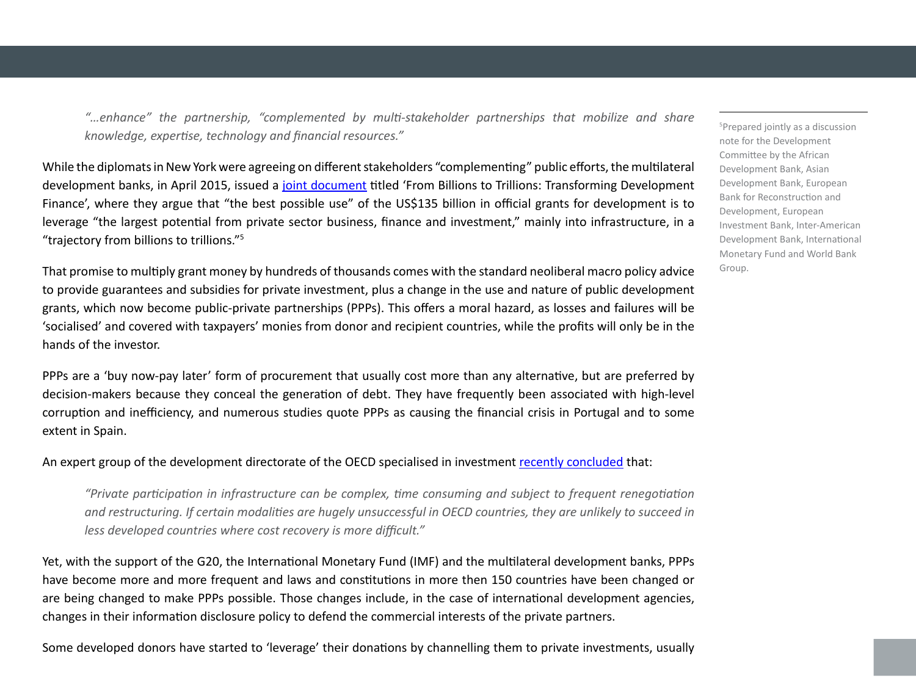*"…enhance" the partnership, "complemented by multi-stakeholder partnerships that mobilize and share knowledge, expertise, technology and financial resources."*

While the diplomats in New York were agreeing on different stakeholders "complementing" public efforts, the multilateral development banks, in April 2015, issued a [joint document](http://siteresources.worldbank.org/DEVCOMMINT/Documentation/23659446/DC2015-0002(E)FinancingforDevelopment.pdf) titled 'From Billions to Trillions: Transforming Development Finance', where they argue that "the best possible use" of the US\$135 billion in official grants for development is to leverage "the largest potential from private sector business, finance and investment," mainly into infrastructure, in a "trajectory from billions to trillions."5

That promise to multiply grant money by hundreds of thousands comes with the standard neoliberal macro policy advice to provide guarantees and subsidies for private investment, plus a change in the use and nature of public development grants, which now become public-private partnerships (PPPs). This offers a moral hazard, as losses and failures will be 'socialised' and covered with taxpayers' monies from donor and recipient countries, while the profits will only be in the hands of the investor.

PPPs are a 'buy now-pay later' form of procurement that usually cost more than any alternative, but are preferred by decision-makers because they conceal the generation of debt. They have frequently been associated with high-level corruption and inefficiency, and numerous studies quote PPPs as causing the financial crisis in Portugal and to some extent in Spain.

An expert group of the development directorate of the OECD specialised in investment [recently concluded](http://www.oecd.org/officialdocuments/publicdisplaydocumentpdf/?cote=DCD/WKP(2014)2/PROV&docLanguage=En) that:

*"Private participation in infrastructure can be complex, time consuming and subject to frequent renegotiation and restructuring. If certain modalities are hugely unsuccessful in OECD countries, they are unlikely to succeed in less developed countries where cost recovery is more difficult."*

Yet, with the support of the G20, the International Monetary Fund (IMF) and the multilateral development banks, PPPs have become more and more frequent and laws and constitutions in more then 150 countries have been changed or are being changed to make PPPs possible. Those changes include, in the case of international development agencies, changes in their information disclosure policy to defend the commercial interests of the private partners.

Some developed donors have started to 'leverage' their donations by channelling them to private investments, usually

5 Prepared jointly as a discussion note for the Development Committee by the African Development Bank, Asian Development Bank, European Bank for Reconstruction and Development, European Investment Bank, Inter-American Development Bank, International Monetary Fund and World Bank Group.